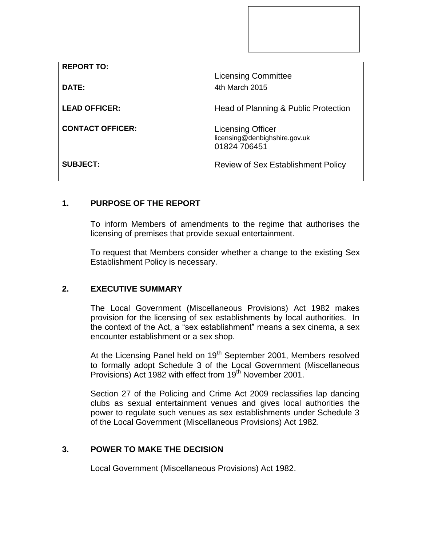| <b>REPORT TO:</b>       |                                                                           |
|-------------------------|---------------------------------------------------------------------------|
|                         | <b>Licensing Committee</b>                                                |
| DATE:                   | 4th March 2015                                                            |
| <b>LEAD OFFICER:</b>    | Head of Planning & Public Protection                                      |
| <b>CONTACT OFFICER:</b> | <b>Licensing Officer</b><br>licensing@denbighshire.gov.uk<br>01824 706451 |
| <b>SUBJECT:</b>         | Review of Sex Establishment Policy                                        |

# **1. PURPOSE OF THE REPORT**

To inform Members of amendments to the regime that authorises the licensing of premises that provide sexual entertainment.

To request that Members consider whether a change to the existing Sex Establishment Policy is necessary.

# **2. EXECUTIVE SUMMARY**

The Local Government (Miscellaneous Provisions) Act 1982 makes provision for the licensing of sex establishments by local authorities. In the context of the Act, a "sex establishment" means a sex cinema, a sex encounter establishment or a sex shop.

At the Licensing Panel held on 19<sup>th</sup> September 2001, Members resolved to formally adopt Schedule 3 of the Local Government (Miscellaneous Provisions) Act 1982 with effect from 19<sup>th</sup> November 2001.

Section 27 of the Policing and Crime Act 2009 reclassifies lap dancing clubs as sexual entertainment venues and gives local authorities the power to regulate such venues as sex establishments under Schedule 3 of the Local Government (Miscellaneous Provisions) Act 1982.

## **3. POWER TO MAKE THE DECISION**

Local Government (Miscellaneous Provisions) Act 1982.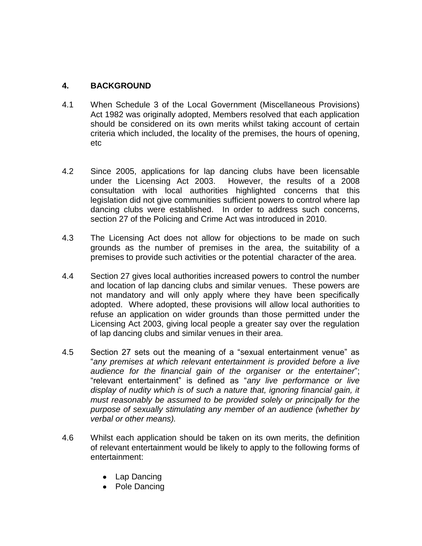#### **4. BACKGROUND**

- 4.1 When Schedule 3 of the Local Government (Miscellaneous Provisions) Act 1982 was originally adopted, Members resolved that each application should be considered on its own merits whilst taking account of certain criteria which included, the locality of the premises, the hours of opening, etc
- 4.2 Since 2005, applications for lap dancing clubs have been licensable under the Licensing Act 2003. However, the results of a 2008 consultation with local authorities highlighted concerns that this legislation did not give communities sufficient powers to control where lap dancing clubs were established. In order to address such concerns, section 27 of the Policing and Crime Act was introduced in 2010.
- 4.3 The Licensing Act does not allow for objections to be made on such grounds as the number of premises in the area, the suitability of a premises to provide such activities or the potential character of the area.
- 4.4 Section 27 gives local authorities increased powers to control the number and location of lap dancing clubs and similar venues. These powers are not mandatory and will only apply where they have been specifically adopted. Where adopted, these provisions will allow local authorities to refuse an application on wider grounds than those permitted under the Licensing Act 2003, giving local people a greater say over the regulation of lap dancing clubs and similar venues in their area.
- 4.5 Section 27 sets out the meaning of a "sexual entertainment venue" as "*any premises at which relevant entertainment is provided before a live audience for the financial gain of the organiser or the entertainer*"; "relevant entertainment" is defined as "*any live performance or live display of nudity which is of such a nature that, ignoring financial gain, it must reasonably be assumed to be provided solely or principally for the purpose of sexually stimulating any member of an audience (whether by verbal or other means).*
- 4.6 Whilst each application should be taken on its own merits, the definition of relevant entertainment would be likely to apply to the following forms of entertainment:
	- Lap Dancing
	- Pole Dancing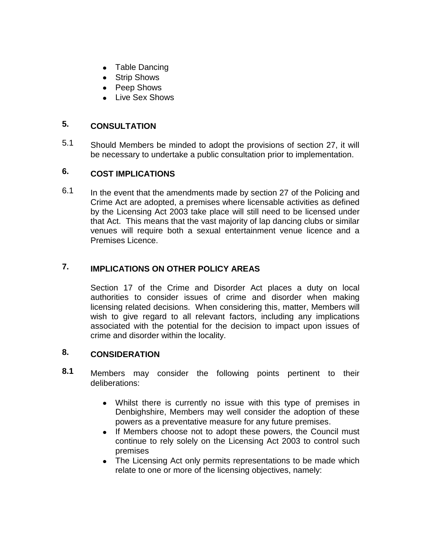- Table Dancing
- Strip Shows
- Peep Shows
- Live Sex Shows

### **5. CONSULTATION**

5.1 Should Members be minded to adopt the provisions of section 27, it will be necessary to undertake a public consultation prior to implementation.

## **6. COST IMPLICATIONS**

6.1 In the event that the amendments made by section 27 of the Policing and Crime Act are adopted, a premises where licensable activities as defined by the Licensing Act 2003 take place will still need to be licensed under that Act. This means that the vast majority of lap dancing clubs or similar venues will require both a sexual entertainment venue licence and a Premises Licence.

## **7. IMPLICATIONS ON OTHER POLICY AREAS**

Section 17 of the Crime and Disorder Act places a duty on local authorities to consider issues of crime and disorder when making licensing related decisions. When considering this, matter, Members will wish to give regard to all relevant factors, including any implications associated with the potential for the decision to impact upon issues of crime and disorder within the locality.

### **8. CONSIDERATION**

- **8.1** Members may consider the following points pertinent to their deliberations:
	- Whilst there is currently no issue with this type of premises in Denbighshire, Members may well consider the adoption of these powers as a preventative measure for any future premises.
	- If Members choose not to adopt these powers, the Council must continue to rely solely on the Licensing Act 2003 to control such premises
	- The Licensing Act only permits representations to be made which relate to one or more of the licensing objectives, namely: